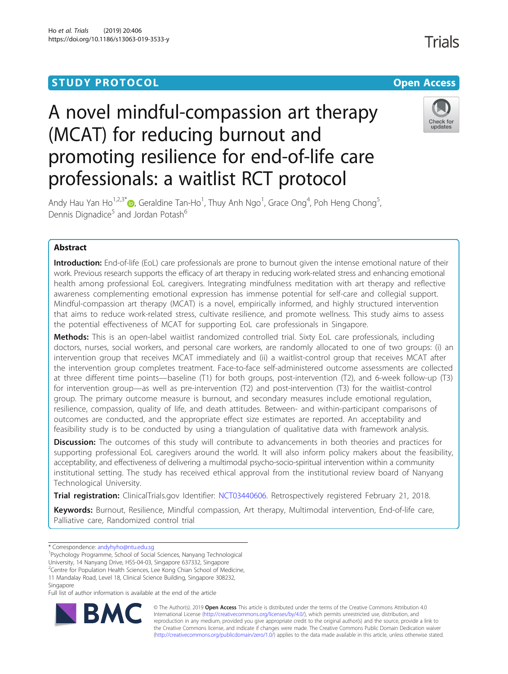# **STUDY PROTOCOL CONSUMING THE RESERVE ACCESS**

# A novel mindful-compassion art therapy (MCAT) for reducing burnout and promoting resilience for end-of-life care professionals: a waitlist RCT protocol



Andy Hau Yan Ho<sup>1[,](http://orcid.org/0000-0003-0373-7043)2,3\*</sup> D, Geraldine Tan-Ho<sup>1</sup>, Thuy Anh Ngo<sup>1</sup>, Grace Ong<sup>4</sup>, Poh Heng Chong<sup>5</sup> , Dennis Dignadice<sup>5</sup> and Jordan Potash<sup>6</sup>

# Abstract

Introduction: End-of-life (EoL) care professionals are prone to burnout given the intense emotional nature of their work. Previous research supports the efficacy of art therapy in reducing work-related stress and enhancing emotional health among professional EoL caregivers. Integrating mindfulness meditation with art therapy and reflective awareness complementing emotional expression has immense potential for self-care and collegial support. Mindful-compassion art therapy (MCAT) is a novel, empirically informed, and highly structured intervention that aims to reduce work-related stress, cultivate resilience, and promote wellness. This study aims to assess the potential effectiveness of MCAT for supporting EoL care professionals in Singapore.

Methods: This is an open-label waitlist randomized controlled trial. Sixty EoL care professionals, including doctors, nurses, social workers, and personal care workers, are randomly allocated to one of two groups: (i) an intervention group that receives MCAT immediately and (ii) a waitlist-control group that receives MCAT after the intervention group completes treatment. Face-to-face self-administered outcome assessments are collected at three different time points—baseline (T1) for both groups, post-intervention (T2), and 6-week follow-up (T3) for intervention group—as well as pre-intervention (T2) and post-intervention (T3) for the waitlist-control group. The primary outcome measure is burnout, and secondary measures include emotional regulation, resilience, compassion, quality of life, and death attitudes. Between- and within-participant comparisons of outcomes are conducted, and the appropriate effect size estimates are reported. An acceptability and feasibility study is to be conducted by using a triangulation of qualitative data with framework analysis.

Discussion: The outcomes of this study will contribute to advancements in both theories and practices for supporting professional EoL caregivers around the world. It will also inform policy makers about the feasibility, acceptability, and effectiveness of delivering a multimodal psycho-socio-spiritual intervention within a community institutional setting. The study has received ethical approval from the institutional review board of Nanyang Technological University.

Trial registration: ClinicalTrials.gov Identifier: [NCT03440606](https://clinicaltrials.gov/ct2/show/NCT03440606). Retrospectively registered February 21, 2018.

Keywords: Burnout, Resilience, Mindful compassion, Art therapy, Multimodal intervention, End-of-life care, Palliative care, Randomized control trial

\* Correspondence: [andyhyho@ntu.edu.sg](mailto:andyhyho@ntu.edu.sg) <sup>1</sup>

<sup>1</sup>Psychology Programme, School of Social Sciences, Nanyang Technological

University, 14 Nanyang Drive, HSS-04-03, Singapore 637332, Singapore

<sup>2</sup>Centre for Population Health Sciences, Lee Kong Chian School of Medicine, 11 Mandalay Road, Level 18, Clinical Science Building, Singapore 308232,

Singapore

Full list of author information is available at the end of the article



© The Author(s). 2019 **Open Access** This article is distributed under the terms of the Creative Commons Attribution 4.0 International License [\(http://creativecommons.org/licenses/by/4.0/](http://creativecommons.org/licenses/by/4.0/)), which permits unrestricted use, distribution, and reproduction in any medium, provided you give appropriate credit to the original author(s) and the source, provide a link to the Creative Commons license, and indicate if changes were made. The Creative Commons Public Domain Dedication waiver [\(http://creativecommons.org/publicdomain/zero/1.0/](http://creativecommons.org/publicdomain/zero/1.0/)) applies to the data made available in this article, unless otherwise stated.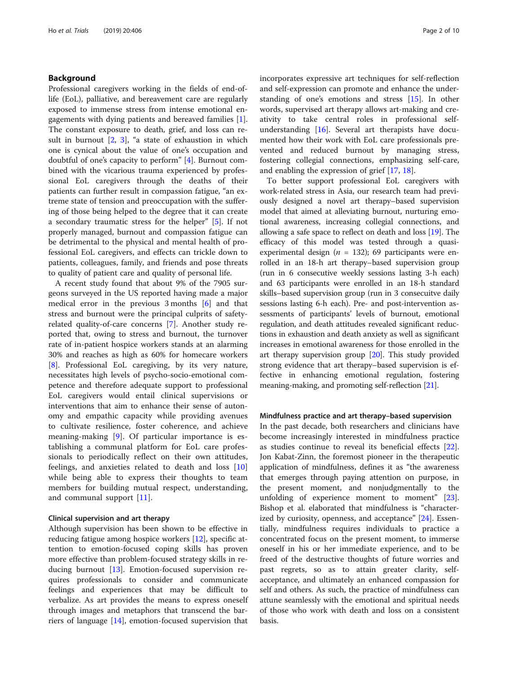# Background

Professional caregivers working in the fields of end-oflife (EoL), palliative, and bereavement care are regularly exposed to immense stress from intense emotional engagements with dying patients and bereaved families [\[1](#page-8-0)]. The constant exposure to death, grief, and loss can result in burnout [[2](#page-8-0), [3](#page-8-0)], "a state of exhaustion in which one is cynical about the value of one's occupation and doubtful of one's capacity to perform" [[4\]](#page-8-0). Burnout combined with the vicarious trauma experienced by professional EoL caregivers through the deaths of their patients can further result in compassion fatigue, "an extreme state of tension and preoccupation with the suffering of those being helped to the degree that it can create a secondary traumatic stress for the helper" [[5\]](#page-8-0). If not properly managed, burnout and compassion fatigue can be detrimental to the physical and mental health of professional EoL caregivers, and effects can trickle down to patients, colleagues, family, and friends and pose threats to quality of patient care and quality of personal life.

A recent study found that about 9% of the 7905 surgeons surveyed in the US reported having made a major medical error in the previous 3 months [[6\]](#page-8-0) and that stress and burnout were the principal culprits of safetyrelated quality-of-care concerns [\[7](#page-8-0)]. Another study reported that, owing to stress and burnout, the turnover rate of in-patient hospice workers stands at an alarming 30% and reaches as high as 60% for homecare workers [[8\]](#page-8-0). Professional EoL caregiving, by its very nature, necessitates high levels of psycho-socio-emotional competence and therefore adequate support to professional EoL caregivers would entail clinical supervisions or interventions that aim to enhance their sense of autonomy and empathic capacity while providing avenues to cultivate resilience, foster coherence, and achieve meaning-making [[9\]](#page-8-0). Of particular importance is establishing a communal platform for EoL care professionals to periodically reflect on their own attitudes, feelings, and anxieties related to death and loss [\[10](#page-8-0)] while being able to express their thoughts to team members for building mutual respect, understanding, and communal support [\[11](#page-9-0)].

#### Clinical supervision and art therapy

Although supervision has been shown to be effective in reducing fatigue among hospice workers [\[12](#page-9-0)], specific attention to emotion-focused coping skills has proven more effective than problem-focused strategy skills in reducing burnout [\[13](#page-9-0)]. Emotion-focused supervision requires professionals to consider and communicate feelings and experiences that may be difficult to verbalize. As art provides the means to express oneself through images and metaphors that transcend the barriers of language [[14\]](#page-9-0), emotion-focused supervision that incorporates expressive art techniques for self-reflection and self-expression can promote and enhance the understanding of one's emotions and stress [\[15](#page-9-0)]. In other words, supervised art therapy allows art-making and creativity to take central roles in professional selfunderstanding [\[16](#page-9-0)]. Several art therapists have documented how their work with EoL care professionals prevented and reduced burnout by managing stress, fostering collegial connections, emphasizing self-care, and enabling the expression of grief [\[17](#page-9-0), [18](#page-9-0)].

To better support professional EoL caregivers with work-related stress in Asia, our research team had previously designed a novel art therapy–based supervision model that aimed at alleviating burnout, nurturing emotional awareness, increasing collegial connections, and allowing a safe space to reflect on death and loss [\[19\]](#page-9-0). The efficacy of this model was tested through a quasiexperimental design ( $n = 132$ ); 69 participants were enrolled in an 18-h art therapy–based supervision group (run in 6 consecutive weekly sessions lasting 3-h each) and 63 participants were enrolled in an 18-h standard skills–based supervision group (run in 3 consecuitve daily sessions lasting 6-h each). Pre- and post-intervention assessments of participants' levels of burnout, emotional regulation, and death attitudes revealed significant reductions in exhaustion and death anxiety as well as significant increases in emotional awareness for those enrolled in the art therapy supervision group [\[20\]](#page-9-0). This study provided strong evidence that art therapy–based supervision is effective in enhancing emotional regulation, fostering meaning-making, and promoting self-reflection [[21](#page-9-0)].

#### Mindfulness practice and art therapy–based supervision

In the past decade, both researchers and clinicians have become increasingly interested in mindfulness practice as studies continue to reveal its beneficial effects [\[22](#page-9-0)]. Jon Kabat-Zinn, the foremost pioneer in the therapeutic application of mindfulness, defines it as "the awareness that emerges through paying attention on purpose, in the present moment, and nonjudgmentally to the unfolding of experience moment to moment" [\[23](#page-9-0)]. Bishop et al. elaborated that mindfulness is "character-ized by curiosity, openness, and acceptance" [[24](#page-9-0)]. Essentially, mindfulness requires individuals to practice a concentrated focus on the present moment, to immerse oneself in his or her immediate experience, and to be freed of the destructive thoughts of future worries and past regrets, so as to attain greater clarity, selfacceptance, and ultimately an enhanced compassion for self and others. As such, the practice of mindfulness can attune seamlessly with the emotional and spiritual needs of those who work with death and loss on a consistent basis.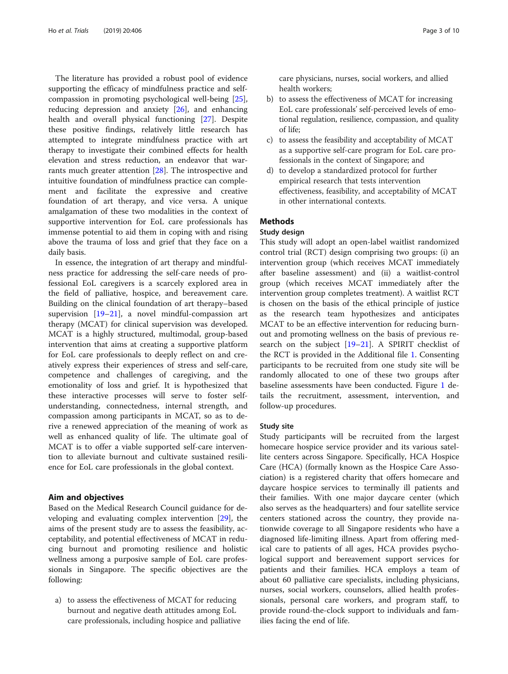The literature has provided a robust pool of evidence supporting the efficacy of mindfulness practice and selfcompassion in promoting psychological well-being [\[25](#page-9-0)], reducing depression and anxiety [[26](#page-9-0)], and enhancing health and overall physical functioning [\[27](#page-9-0)]. Despite these positive findings, relatively little research has attempted to integrate mindfulness practice with art therapy to investigate their combined effects for health elevation and stress reduction, an endeavor that warrants much greater attention [[28\]](#page-9-0). The introspective and intuitive foundation of mindfulness practice can complement and facilitate the expressive and creative foundation of art therapy, and vice versa. A unique amalgamation of these two modalities in the context of supportive intervention for EoL care professionals has immense potential to aid them in coping with and rising above the trauma of loss and grief that they face on a daily basis.

In essence, the integration of art therapy and mindfulness practice for addressing the self-care needs of professional EoL caregivers is a scarcely explored area in the field of palliative, hospice, and bereavement care. Building on the clinical foundation of art therapy–based supervision  $[19-21]$  $[19-21]$  $[19-21]$  $[19-21]$  $[19-21]$ , a novel mindful-compassion art therapy (MCAT) for clinical supervision was developed. MCAT is a highly structured, multimodal, group-based intervention that aims at creating a supportive platform for EoL care professionals to deeply reflect on and creatively express their experiences of stress and self-care, competence and challenges of caregiving, and the emotionality of loss and grief. It is hypothesized that these interactive processes will serve to foster selfunderstanding, connectedness, internal strength, and compassion among participants in MCAT, so as to derive a renewed appreciation of the meaning of work as well as enhanced quality of life. The ultimate goal of MCAT is to offer a viable supported self-care intervention to alleviate burnout and cultivate sustained resilience for EoL care professionals in the global context.

# Aim and objectives

Based on the Medical Research Council guidance for developing and evaluating complex intervention [\[29\]](#page-9-0), the aims of the present study are to assess the feasibility, acceptability, and potential effectiveness of MCAT in reducing burnout and promoting resilience and holistic wellness among a purposive sample of EoL care professionals in Singapore. The specific objectives are the following:

a) to assess the effectiveness of MCAT for reducing burnout and negative death attitudes among EoL care professionals, including hospice and palliative

care physicians, nurses, social workers, and allied health workers;

- b) to assess the effectiveness of MCAT for increasing EoL care professionals' self-perceived levels of emotional regulation, resilience, compassion, and quality of life;
- c) to assess the feasibility and acceptability of MCAT as a supportive self-care program for EoL care professionals in the context of Singapore; and
- d) to develop a standardized protocol for further empirical research that tests intervention effectiveness, feasibility, and acceptability of MCAT in other international contexts.

# **Methods**

# Study design

This study will adopt an open-label waitlist randomized control trial (RCT) design comprising two groups: (i) an intervention group (which receives MCAT immediately after baseline assessment) and (ii) a waitlist-control group (which receives MCAT immediately after the intervention group completes treatment). A waitlist RCT is chosen on the basis of the ethical principle of justice as the research team hypothesizes and anticipates MCAT to be an effective intervention for reducing burnout and promoting wellness on the basis of previous research on the subject [\[19](#page-9-0)–[21\]](#page-9-0). A SPIRIT checklist of the RCT is provided in the Additional file [1.](#page-8-0) Consenting participants to be recruited from one study site will be randomly allocated to one of these two groups after baseline assessments have been conducted. Figure [1](#page-3-0) details the recruitment, assessment, intervention, and follow-up procedures.

#### Study site

Study participants will be recruited from the largest homecare hospice service provider and its various satellite centers across Singapore. Specifically, HCA Hospice Care (HCA) (formally known as the Hospice Care Association) is a registered charity that offers homecare and daycare hospice services to terminally ill patients and their families. With one major daycare center (which also serves as the headquarters) and four satellite service centers stationed across the country, they provide nationwide coverage to all Singapore residents who have a diagnosed life-limiting illness. Apart from offering medical care to patients of all ages, HCA provides psychological support and bereavement support services for patients and their families. HCA employs a team of about 60 palliative care specialists, including physicians, nurses, social workers, counselors, allied health professionals, personal care workers, and program staff, to provide round-the-clock support to individuals and families facing the end of life.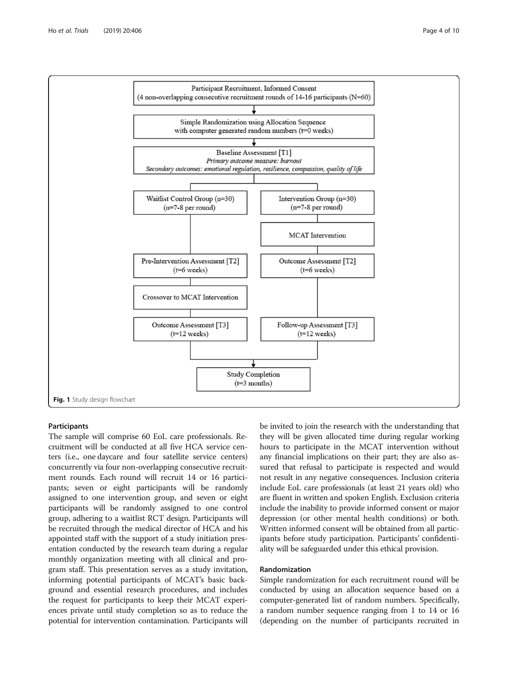<span id="page-3-0"></span>

#### Participants

The sample will comprise 60 EoL care professionals. Recruitment will be conducted at all five HCA service centers (i.e., one daycare and four satellite service centers) concurrently via four non-overlapping consecutive recruitment rounds. Each round will recruit 14 or 16 participants; seven or eight participants will be randomly assigned to one intervention group, and seven or eight participants will be randomly assigned to one control group, adhering to a waitlist RCT design. Participants will be recruited through the medical director of HCA and his appointed staff with the support of a study initiation presentation conducted by the research team during a regular monthly organization meeting with all clinical and program staff. This presentation serves as a study invitation, informing potential participants of MCAT's basic background and essential research procedures, and includes the request for participants to keep their MCAT experiences private until study completion so as to reduce the potential for intervention contamination. Participants will be invited to join the research with the understanding that they will be given allocated time during regular working hours to participate in the MCAT intervention without any financial implications on their part; they are also assured that refusal to participate is respected and would not result in any negative consequences. Inclusion criteria include EoL care professionals (at least 21 years old) who are fluent in written and spoken English. Exclusion criteria include the inability to provide informed consent or major depression (or other mental health conditions) or both. Written informed consent will be obtained from all participants before study participation. Participants' confidentiality will be safeguarded under this ethical provision.

# Randomization

Simple randomization for each recruitment round will be conducted by using an allocation sequence based on a computer-generated list of random numbers. Specifically, a random number sequence ranging from 1 to 14 or 16 (depending on the number of participants recruited in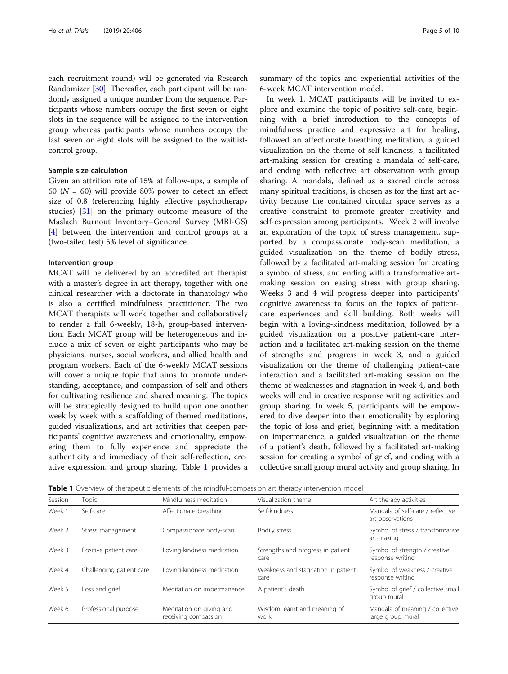each recruitment round) will be generated via Research Randomizer [[30](#page-9-0)]. Thereafter, each participant will be randomly assigned a unique number from the sequence. Participants whose numbers occupy the first seven or eight slots in the sequence will be assigned to the intervention group whereas participants whose numbers occupy the last seven or eight slots will be assigned to the waitlistcontrol group.

# Sample size calculation

Given an attrition rate of 15% at follow-ups, a sample of 60 ( $N = 60$ ) will provide 80% power to detect an effect size of 0.8 (referencing highly effective psychotherapy studies) [\[31](#page-9-0)] on the primary outcome measure of the Maslach Burnout Inventory–General Survey (MBI-GS) [[4\]](#page-8-0) between the intervention and control groups at a (two-tailed test) 5% level of significance.

#### Intervention group

MCAT will be delivered by an accredited art therapist with a master's degree in art therapy, together with one clinical researcher with a doctorate in thanatology who is also a certified mindfulness practitioner. The two MCAT therapists will work together and collaboratively to render a full 6-weekly, 18-h, group-based intervention. Each MCAT group will be heterogeneous and include a mix of seven or eight participants who may be physicians, nurses, social workers, and allied health and program workers. Each of the 6-weekly MCAT sessions will cover a unique topic that aims to promote understanding, acceptance, and compassion of self and others for cultivating resilience and shared meaning. The topics will be strategically designed to build upon one another week by week with a scaffolding of themed meditations, guided visualizations, and art activities that deepen participants' cognitive awareness and emotionality, empowering them to fully experience and appreciate the authenticity and immediacy of their self-reflection, creative expression, and group sharing. Table 1 provides a summary of the topics and experiential activities of the 6-week MCAT intervention model.

In week 1, MCAT participants will be invited to explore and examine the topic of positive self-care, beginning with a brief introduction to the concepts of mindfulness practice and expressive art for healing, followed an affectionate breathing meditation, a guided visualization on the theme of self-kindness, a facilitated art-making session for creating a mandala of self-care, and ending with reflective art observation with group sharing. A mandala, defined as a sacred circle across many spiritual traditions, is chosen as for the first art activity because the contained circular space serves as a creative constraint to promote greater creativity and self-expression among participants. Week 2 will involve an exploration of the topic of stress management, supported by a compassionate body-scan meditation, a guided visualization on the theme of bodily stress, followed by a facilitated art-making session for creating a symbol of stress, and ending with a transformative artmaking session on easing stress with group sharing. Weeks 3 and 4 will progress deeper into participants' cognitive awareness to focus on the topics of patientcare experiences and skill building. Both weeks will begin with a loving-kindness meditation, followed by a guided visualization on a positive patient-care interaction and a facilitated art-making session on the theme of strengths and progress in week 3, and a guided visualization on the theme of challenging patient-care interaction and a facilitated art-making session on the theme of weaknesses and stagnation in week 4, and both weeks will end in creative response writing activities and group sharing. In week 5, participants will be empowered to dive deeper into their emotionality by exploring the topic of loss and grief, beginning with a meditation on impermanence, a guided visualization on the theme of a patient's death, followed by a facilitated art-making session for creating a symbol of grief, and ending with a collective small group mural activity and group sharing. In

**Table 1** Overview of therapeutic elements of the mindful-compassion art therapy intervention model

| Session | Topic                    | Mindfulness meditation                           | Visualization theme                        | Art therapy activities                                |  |  |
|---------|--------------------------|--------------------------------------------------|--------------------------------------------|-------------------------------------------------------|--|--|
| Week 1  | Self-care                | Affectionate breathing                           | Self-kindness                              | Mandala of self-care / reflective<br>art observations |  |  |
| Week 2  | Stress management        | Compassionate body-scan                          | Bodily stress                              | Symbol of stress / transformative<br>art-making       |  |  |
| Week 3  | Positive patient care    | Loving-kindness meditation                       | Strengths and progress in patient<br>care  | Symbol of strength / creative<br>response writing     |  |  |
| Week 4  | Challenging patient care | Loving-kindness meditation                       | Weakness and stagnation in patient<br>care | Symbol of weakness / creative<br>response writing     |  |  |
| Week 5  | Loss and grief           | Meditation on impermanence                       | A patient's death                          | Symbol of grief / collective small<br>group mural     |  |  |
| Week 6  | Professional purpose     | Meditation on giving and<br>receiving compassion | Wisdom learnt and meaning of<br>work       | Mandala of meaning / collective<br>large group mural  |  |  |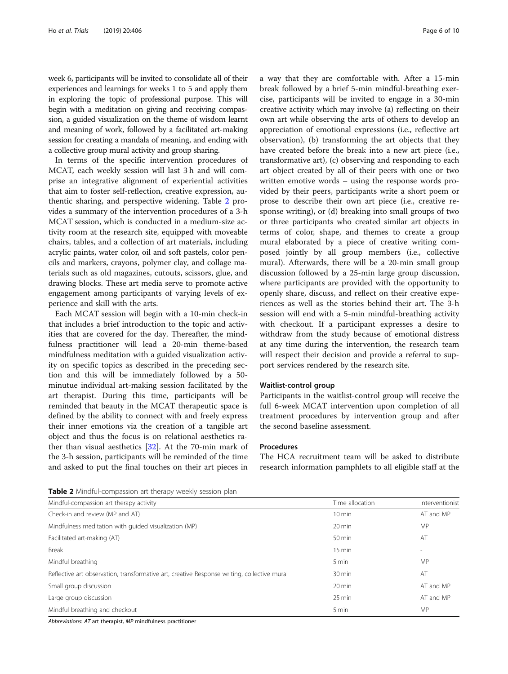week 6, participants will be invited to consolidate all of their experiences and learnings for weeks 1 to 5 and apply them in exploring the topic of professional purpose. This will begin with a meditation on giving and receiving compassion, a guided visualization on the theme of wisdom learnt and meaning of work, followed by a facilitated art-making session for creating a mandala of meaning, and ending with a collective group mural activity and group sharing.

In terms of the specific intervention procedures of MCAT, each weekly session will last 3 h and will comprise an integrative alignment of experiential activities that aim to foster self-reflection, creative expression, authentic sharing, and perspective widening. Table 2 provides a summary of the intervention procedures of a 3-h MCAT session, which is conducted in a medium-size activity room at the research site, equipped with moveable chairs, tables, and a collection of art materials, including acrylic paints, water color, oil and soft pastels, color pencils and markers, crayons, polymer clay, and collage materials such as old magazines, cutouts, scissors, glue, and drawing blocks. These art media serve to promote active engagement among participants of varying levels of experience and skill with the arts.

Each MCAT session will begin with a 10-min check-in that includes a brief introduction to the topic and activities that are covered for the day. Thereafter, the mindfulness practitioner will lead a 20-min theme-based mindfulness meditation with a guided visualization activity on specific topics as described in the preceding section and this will be immediately followed by a 50 minutue individual art-making session facilitated by the art therapist. During this time, participants will be reminded that beauty in the MCAT therapeutic space is defined by the ability to connect with and freely express their inner emotions via the creation of a tangible art object and thus the focus is on relational aesthetics rather than visual aesthetics  $[32]$  $[32]$ . At the 70-min mark of the 3-h session, participants will be reminded of the time and asked to put the final touches on their art pieces in a way that they are comfortable with. After a 15-min break followed by a brief 5-min mindful-breathing exercise, participants will be invited to engage in a 30-min creative activity which may involve (a) reflecting on their own art while observing the arts of others to develop an appreciation of emotional expressions (i.e., reflective art observation), (b) transforming the art objects that they have created before the break into a new art piece (i.e., transformative art), (c) observing and responding to each art object created by all of their peers with one or two written emotive words – using the response words provided by their peers, participants write a short poem or prose to describe their own art piece (i.e., creative response writing), or (d) breaking into small groups of two or three participants who created similar art objects in terms of color, shape, and themes to create a group mural elaborated by a piece of creative writing composed jointly by all group members (i.e., collective mural). Afterwards, there will be a 20-min small group discussion followed by a 25-min large group discussion, where participants are provided with the opportunity to openly share, discuss, and reflect on their creative experiences as well as the stories behind their art. The 3-h session will end with a 5-min mindful-breathing activity with checkout. If a participant expresses a desire to withdraw from the study because of emotional distress at any time during the intervention, the research team will respect their decision and provide a referral to support services rendered by the research site.

#### Waitlist-control group

Participants in the waitlist-control group will receive the full 6-week MCAT intervention upon completion of all treatment procedures by intervention group and after the second baseline assessment.

### Procedures

The HCA recruitment team will be asked to distribute research information pamphlets to all eligible staff at the

Table 2 Mindful-compassion art therapy weekly session plan

| Mindful-compassion art therapy activity                                                     | Time allocation  | Interventionist |
|---------------------------------------------------------------------------------------------|------------------|-----------------|
| Check-in and review (MP and AT)                                                             | $10 \text{ min}$ | AT and MP       |
| Mindfulness meditation with quided visualization (MP)                                       | $20 \text{ min}$ | <b>MP</b>       |
| Facilitated art-making (AT)                                                                 | 50 min           | AT              |
| <b>Break</b>                                                                                | $15 \text{ min}$ | $\sim$          |
| Mindful breathing                                                                           | $5 \text{ min}$  | <b>MP</b>       |
| Reflective art observation, transformative art, creative Response writing, collective mural | $30 \text{ min}$ | AT              |
| Small group discussion                                                                      | 20 min           | AT and MP       |
| Large group discussion                                                                      | $25 \text{ min}$ | AT and MP       |
| Mindful breathing and checkout                                                              | 5 min            | <b>MP</b>       |

Abbreviations: AT art therapist, MP mindfulness practitioner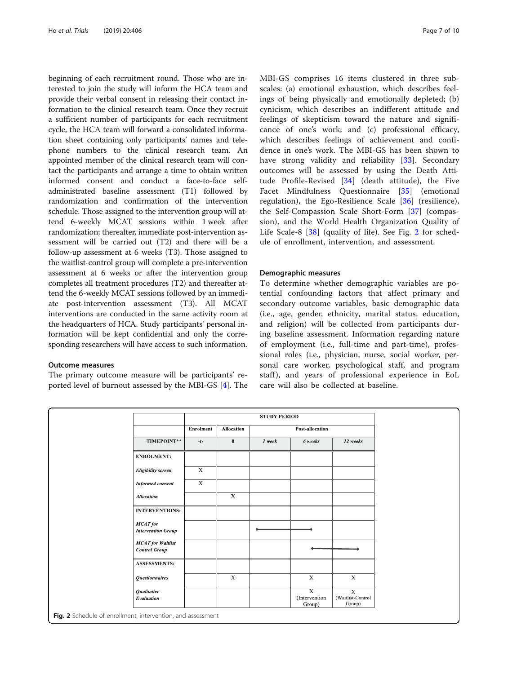beginning of each recruitment round. Those who are interested to join the study will inform the HCA team and provide their verbal consent in releasing their contact information to the clinical research team. Once they recruit a sufficient number of participants for each recruitment cycle, the HCA team will forward a consolidated information sheet containing only participants' names and telephone numbers to the clinical research team. An appointed member of the clinical research team will contact the participants and arrange a time to obtain written informed consent and conduct a face-to-face selfadministrated baseline assessment (T1) followed by randomization and confirmation of the intervention schedule. Those assigned to the intervention group will attend 6-weekly MCAT sessions within 1 week after randomization; thereafter, immediate post-intervention assessment will be carried out (T2) and there will be a follow-up assessment at 6 weeks (T3). Those assigned to the waitlist-control group will complete a pre-intervention assessment at 6 weeks or after the intervention group completes all treatment procedures (T2) and thereafter attend the 6-weekly MCAT sessions followed by an immediate post-intervention assessment (T3). All MCAT interventions are conducted in the same activity room at the headquarters of HCA. Study participants' personal information will be kept confidential and only the corresponding researchers will have access to such information.

# Outcome measures

The primary outcome measure will be participants' reported level of burnout assessed by the MBI-GS [\[4](#page-8-0)]. The MBI-GS comprises 16 items clustered in three subscales: (a) emotional exhaustion, which describes feelings of being physically and emotionally depleted; (b) cynicism, which describes an indifferent attitude and feelings of skepticism toward the nature and significance of one's work; and (c) professional efficacy, which describes feelings of achievement and confidence in one's work. The MBI-GS has been shown to have strong validity and reliability [\[33](#page-9-0)]. Secondary outcomes will be assessed by using the Death Attitude Profile-Revised [\[34](#page-9-0)] (death attitude), the Five Facet Mindfulness Questionnaire [\[35](#page-9-0)] (emotional regulation), the Ego-Resilience Scale [\[36](#page-9-0)] (resilience), the Self-Compassion Scale Short-Form [[37\]](#page-9-0) (compassion), and the World Health Organization Quality of Life Scale-8 [[38\]](#page-9-0) (quality of life). See Fig. 2 for schedule of enrollment, intervention, and assessment.

#### Demographic measures

To determine whether demographic variables are potential confounding factors that affect primary and secondary outcome variables, basic demographic data (i.e., age, gender, ethnicity, marital status, education, and religion) will be collected from participants during baseline assessment. Information regarding nature of employment (i.e., full-time and part-time), professional roles (i.e., physician, nurse, social worker, personal care worker, psychological staff, and program staff), and years of professional experience in EoL care will also be collected at baseline.

|                                                             | <b>STUDY PERIOD</b> |                  |                 |                                           |                                             |  |
|-------------------------------------------------------------|---------------------|------------------|-----------------|-------------------------------------------|---------------------------------------------|--|
|                                                             | Enrolment           | Allocation       | Post-allocation |                                           |                                             |  |
| TIMEPOINT**                                                 | $-tI$               | $\boldsymbol{0}$ | $I$ week        | 6 weeks                                   | 12 weeks                                    |  |
| <b>ENROLMENT:</b>                                           |                     |                  |                 |                                           |                                             |  |
| <b>Eligibility</b> screen                                   | $\mathbf{X}$        |                  |                 |                                           |                                             |  |
| <b>Informed consent</b>                                     | $\overline{X}$      |                  |                 |                                           |                                             |  |
| <b>Allocation</b>                                           |                     | $\overline{X}$   |                 |                                           |                                             |  |
| <b>INTERVENTIONS:</b>                                       |                     |                  |                 |                                           |                                             |  |
| <b>MCAT</b> for<br><b>Intervention Group</b>                |                     |                  |                 |                                           |                                             |  |
| <b>MCAT</b> for Waitlist<br><b>Control Group</b>            |                     |                  |                 |                                           |                                             |  |
| <b>ASSESSMENTS:</b>                                         |                     |                  |                 |                                           |                                             |  |
| <b>Questionnaires</b>                                       |                     | $\mathbf X$      |                 | $\mathbf X$                               | $\mathbf X$                                 |  |
| Qualitative<br>Evaluation                                   |                     |                  |                 | $\overline{X}$<br>(Intervention<br>Group) | $\mathbf{x}$<br>(Waitlist-Control<br>Group) |  |
| Fig. 2 Schedule of enrollment, intervention, and assessment |                     |                  |                 |                                           |                                             |  |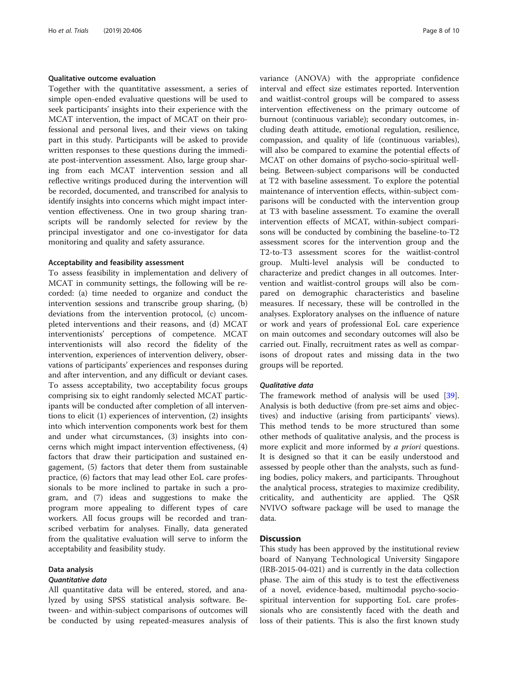#### Qualitative outcome evaluation

Together with the quantitative assessment, a series of simple open-ended evaluative questions will be used to seek participants' insights into their experience with the MCAT intervention, the impact of MCAT on their professional and personal lives, and their views on taking part in this study. Participants will be asked to provide written responses to these questions during the immediate post-intervention assessment. Also, large group sharing from each MCAT intervention session and all reflective writings produced during the intervention will be recorded, documented, and transcribed for analysis to identify insights into concerns which might impact intervention effectiveness. One in two group sharing transcripts will be randomly selected for review by the principal investigator and one co-investigator for data monitoring and quality and safety assurance.

#### Acceptability and feasibility assessment

To assess feasibility in implementation and delivery of MCAT in community settings, the following will be recorded: (a) time needed to organize and conduct the intervention sessions and transcribe group sharing, (b) deviations from the intervention protocol, (c) uncompleted interventions and their reasons, and (d) MCAT interventionists' perceptions of competence. MCAT interventionists will also record the fidelity of the intervention, experiences of intervention delivery, observations of participants' experiences and responses during and after intervention, and any difficult or deviant cases. To assess acceptability, two acceptability focus groups comprising six to eight randomly selected MCAT participants will be conducted after completion of all interventions to elicit (1) experiences of intervention, (2) insights into which intervention components work best for them and under what circumstances, (3) insights into concerns which might impact intervention effectiveness, (4) factors that draw their participation and sustained engagement, (5) factors that deter them from sustainable practice, (6) factors that may lead other EoL care professionals to be more inclined to partake in such a program, and (7) ideas and suggestions to make the program more appealing to different types of care workers. All focus groups will be recorded and transcribed verbatim for analyses. Finally, data generated from the qualitative evaluation will serve to inform the acceptability and feasibility study.

#### Data analysis

# Quantitative data

All quantitative data will be entered, stored, and analyzed by using SPSS statistical analysis software. Between- and within-subject comparisons of outcomes will be conducted by using repeated-measures analysis of variance (ANOVA) with the appropriate confidence interval and effect size estimates reported. Intervention and waitlist-control groups will be compared to assess intervention effectiveness on the primary outcome of burnout (continuous variable); secondary outcomes, including death attitude, emotional regulation, resilience, compassion, and quality of life (continuous variables), will also be compared to examine the potential effects of MCAT on other domains of psycho-socio-spiritual wellbeing. Between-subject comparisons will be conducted at T2 with baseline assessment. To explore the potential maintenance of intervention effects, within-subject comparisons will be conducted with the intervention group at T3 with baseline assessment. To examine the overall intervention effects of MCAT, within-subject comparisons will be conducted by combining the baseline-to-T2 assessment scores for the intervention group and the T2-to-T3 assessment scores for the waitlist-control group. Multi-level analysis will be conducted to characterize and predict changes in all outcomes. Intervention and waitlist-control groups will also be compared on demographic characteristics and baseline measures. If necessary, these will be controlled in the analyses. Exploratory analyses on the influence of nature or work and years of professional EoL care experience on main outcomes and secondary outcomes will also be carried out. Finally, recruitment rates as well as comparisons of dropout rates and missing data in the two groups will be reported.

#### Qualitative data

The framework method of analysis will be used [\[39](#page-9-0)]. Analysis is both deductive (from pre-set aims and objectives) and inductive (arising from participants' views). This method tends to be more structured than some other methods of qualitative analysis, and the process is more explicit and more informed by *a priori* questions. It is designed so that it can be easily understood and assessed by people other than the analysts, such as funding bodies, policy makers, and participants. Throughout the analytical process, strategies to maximize credibility, criticality, and authenticity are applied. The QSR NVIVO software package will be used to manage the data.

# **Discussion**

This study has been approved by the institutional review board of Nanyang Technological University Singapore (IRB-2015-04-021) and is currently in the data collection phase. The aim of this study is to test the effectiveness of a novel, evidence-based, multimodal psycho-sociospiritual intervention for supporting EoL care professionals who are consistently faced with the death and loss of their patients. This is also the first known study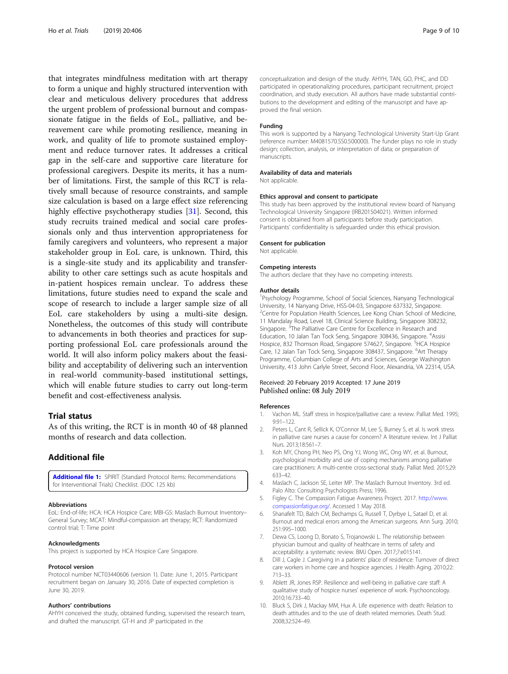<span id="page-8-0"></span>that integrates mindfulness meditation with art therapy to form a unique and highly structured intervention with clear and meticulous delivery procedures that address the urgent problem of professional burnout and compassionate fatigue in the fields of EoL, palliative, and bereavement care while promoting resilience, meaning in work, and quality of life to promote sustained employment and reduce turnover rates. It addresses a critical gap in the self-care and supportive care literature for professional caregivers. Despite its merits, it has a number of limitations. First, the sample of this RCT is relatively small because of resource constraints, and sample size calculation is based on a large effect size referencing highly effective psychotherapy studies [[31\]](#page-9-0). Second, this study recruits trained medical and social care professionals only and thus intervention appropriateness for family caregivers and volunteers, who represent a major stakeholder group in EoL care, is unknown. Third, this is a single-site study and its applicability and transferability to other care settings such as acute hospitals and in-patient hospices remain unclear. To address these limitations, future studies need to expand the scale and scope of research to include a larger sample size of all EoL care stakeholders by using a multi-site design. Nonetheless, the outcomes of this study will contribute to advancements in both theories and practices for supporting professional EoL care professionals around the world. It will also inform policy makers about the feasibility and acceptability of delivering such an intervention in real-world community-based institutional settings, which will enable future studies to carry out long-term benefit and cost-effectiveness analysis.

# Trial status

As of this writing, the RCT is in month 40 of 48 planned months of research and data collection.

# Additional file

[Additional file 1:](https://doi.org/10.1186/s13063-019-3533-y) SPIRIT (Standard Protocol Items: Recommendations for Interventional Trials) Checklist. (DOC 125 kb)

#### Abbreviations

EoL: End-of-life; HCA: HCA Hospice Care; MBI-GS: Maslach Burnout Inventory– General Survey; MCAT: Mindful-compassion art therapy; RCT: Randomized control trial; T: Time point

#### Acknowledgments

This project is supported by HCA Hospice Care Singapore.

#### Protocol version

Protocol number NCT03440606 (version 1). Date: June 1, 2015. Participant recruitment began on January 30, 2016. Date of expected completion is June 30, 2019.

#### Authors' contributions

AHYH conceived the study, obtained funding, supervised the research team, and drafted the manuscript. GT-H and JP participated in the

conceptualization and design of the study. AHYH, TAN, GO, PHC, and DD participated in operationalizing procedures, participant recruitment, project coordination, and study execution. All authors have made substantial contributions to the development and editing of the manuscript and have approved the final version.

#### Funding

This work is supported by a Nanyang Technological University Start-Up Grant (reference number: M4081570.SS0.500000). The funder plays no role in study design; collection, analysis, or interpretation of data; or preparation of manuscripts.

#### Availability of data and materials

Not applicable.

#### Ethics approval and consent to participate

This study has been approved by the institutional review board of Nanyang Technological University Singapore (IRB201504021). Written informed consent is obtained from all participants before study participation. Participants' confidentiality is safeguarded under this ethical provision.

#### Consent for publication

Not applicable.

#### Competing interests

The authors declare that they have no competing interests.

#### Author details

<sup>1</sup>Psychology Programme, School of Social Sciences, Nanyang Technological University, 14 Nanyang Drive, HSS-04-03, Singapore 637332, Singapore. <sup>2</sup> Centre for Population Health Sciences, Lee Kong Chian School of Medicine 11 Mandalay Road, Level 18, Clinical Science Building, Singapore 308232, Singapore.<sup>3</sup>The Palliative Care Centre for Excellence in Research and Education, 10 Jalan Tan Tock Seng, Singapore 308436, Singapore. <sup>4</sup>Assisi Hospice, 832 Thomson Road, Singapore 574627, Singapore. <sup>5</sup>HCA Hospice Care, 12 Jalan Tan Tock Seng, Singapore 308437, Singapore. <sup>6</sup>Art Therapy Programme, Columbian College of Arts and Sciences, George Washington University, 413 John Carlyle Street, Second Floor, Alexandria, VA 22314, USA.

#### Received: 20 February 2019 Accepted: 17 June 2019 Published online: 08 July 2019

#### References

- 1. Vachon ML. Staff stress in hospice/palliative care: a review. Palliat Med. 1995; 9:91–122.
- 2. Peters L, Cant R, Sellick K, O'Connor M, Lee S, Burney S, et al. Is work stress in palliative care nurses a cause for concern? A literature review. Int J Palliat Nurs. 2013;18:561–7.
- 3. Koh MY, Chong PH, Neo PS, Ong YJ, Wong WC, Ong WY, et al. Burnout, psychological morbidity and use of coping mechanisms among palliative care practitioners: A multi-centre cross-sectional study. Palliat Med. 2015;29: 633–42.
- 4. Maslach C, Jackson SE, Leiter MP. The Maslach Burnout Inventory. 3rd ed. Palo Alto: Consulting Psychologists Press; 1996.
- 5. Figley C. The Compassion Fatigue Awareness Project. 2017. [http://www.](http://www.compassionfatigue.org/) [compassionfatigue.org/.](http://www.compassionfatigue.org/) Accessed 1 May 2018.
- 6. Shanafelt TD, Balch CM, Bechamps G, Russell T, Dyrbye L, Satael D, et al. Burnout and medical errors among the American surgeons. Ann Surg. 2010; 251:995–1000.
- 7. Dewa CS, Loong D, Bonato S, Trojanowski L. The relationship between physician burnout and quality of healthcare in terms of safety and acceptability: a systematic review. BMJ Open. 2017;7:e015141.
- 8. Dill J, Cagle J. Caregiving in a patients' place of residence: Turnover of direct care workers in home care and hospice agencies. J Health Aging. 2010;22: 713–33.
- 9. Ablett JR, Jones RSP. Resilience and well-being in palliative care staff: A qualitative study of hospice nurses' experience of work. Psychooncology. 2010;16:733–40.
- 10. Bluck S, Dirk J, Mackay MM, Hux A. Life experience with death: Relation to death attitudes and to the use of death related memories. Death Stud. 2008;32:524–49.